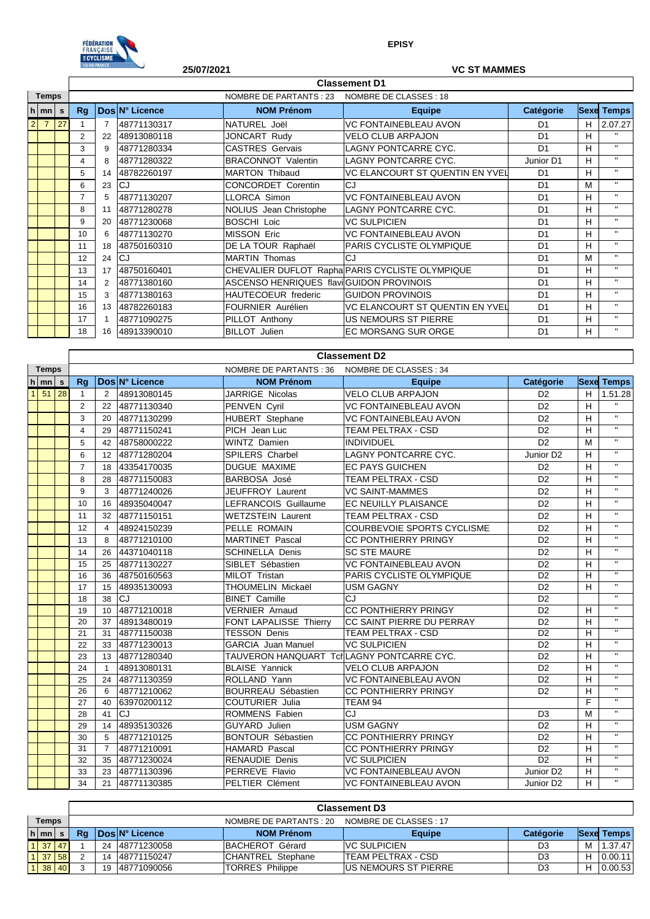

**EPISY**

|                |                |          |                | <b>ILE-DE-FRANCE</b> | 25/07/2021     |                                          | <b>VC ST MAMMES</b>                             |                |   |                   |
|----------------|----------------|----------|----------------|----------------------|----------------|------------------------------------------|-------------------------------------------------|----------------|---|-------------------|
|                |                |          |                |                      |                |                                          | <b>Classement D1</b>                            |                |   |                   |
| <b>Temps</b>   |                |          |                |                      |                | NOMBRE DE CLASSES : 18                   |                                                 |                |   |                   |
|                | $h$   mn       | <b>s</b> | Rq             |                      | Dos N° Licence | <b>NOM Prénom</b>                        | <b>Equipe</b>                                   | Catégorie      |   | <b>Sexe Temps</b> |
| $\overline{2}$ | $\overline{7}$ | 27       |                |                      | 48771130317    | NATUREL Joël                             | <b>VC FONTAINEBLEAU AVON</b>                    | D <sub>1</sub> | H | 2.07.27           |
|                |                |          | $\overline{2}$ | 22                   | 48913080118    | JONCART Rudy                             | <b>VELO CLUB ARPAJON</b>                        | D <sub>1</sub> | н | $\mathbf{H}$      |
|                |                |          | 3              | 9                    | 48771280334    | <b>CASTRES Gervais</b>                   | LAGNY PONTCARRE CYC.                            | D <sub>1</sub> | H | $\mathbf{H}$      |
|                |                |          | 4              | 8                    | 48771280322    | <b>BRACONNOT Valentin</b>                | LAGNY PONTCARRE CYC.                            | Junior D1      | н | $\mathbf{H}$      |
|                |                |          | 5              | 14                   | 48782260197    | <b>MARTON Thibaud</b>                    | VC ELANCOURT ST QUENTIN EN YVEL                 | D <sub>1</sub> | H | $\mathbf{H}$      |
|                |                |          | 6              | 23                   | CJ             | <b>CONCORDET Corentin</b>                | CJ                                              | D <sub>1</sub> | М | $\mathbf{H}$      |
|                |                |          |                | 5                    | 48771130207    | LLORCA Simon                             | <b>VC FONTAINEBLEAU AVON</b>                    | D <sub>1</sub> | н | $\mathbf{H}$      |
|                |                |          | 8              | 11                   | 48771280278    | NOLIUS Jean Christophe                   | LAGNY PONTCARRE CYC.                            | D <sub>1</sub> | H | $\mathbf{H}$ .    |
|                |                |          | 9              | 20                   | 48771230068    | <b>BOSCHI Loic</b>                       | <b>VC SULPICIEN</b>                             | D <sub>1</sub> | н | $\mathbf{H}$      |
|                |                |          | 10             | 6                    | 48771130270    | <b>MISSON Eric</b>                       | <b>VC FONTAINEBLEAU AVON</b>                    | D <sub>1</sub> | H | $\mathbf{H}$      |
|                |                |          | 11             | 18                   | 48750160310    | DE LA TOUR Raphaël                       | PARIS CYCLISTE OLYMPIQUE                        | D <sub>1</sub> | H | $\mathbf{H}$      |
|                |                |          | 12             | 24                   | CJ             | <b>MARTIN Thomas</b>                     | <b>CJ</b>                                       | D <sub>1</sub> | М | $\mathbf{H}$      |
|                |                |          | 13             | 17                   | 48750160401    |                                          | CHEVALIER DUFLOT Rapha PARIS CYCLISTE OLYMPIQUE | D <sub>1</sub> | н | $\mathbf{H}$      |
|                |                |          | 14             | 2                    | 48771380160    | ASCENSO HENRIQUES flavi GUIDON PROVINOIS |                                                 | D <sub>1</sub> | H | $\mathbf{H}$ .    |
|                |                |          | 15             | 3                    | 48771380163    | <b>HAUTECOEUR</b> frederic               | <b>GUIDON PROVINOIS</b>                         | D <sub>1</sub> | н | $\mathbf{H}$      |
|                |                |          | 16             | 13                   | 48782260183    | FOURNIER Aurélien                        | VC ELANCOURT ST QUENTIN EN YVEL                 | D <sub>1</sub> | н | $\mathbf{H}$      |
|                |                |          | 17             |                      | 48771090275    | PILLOT Anthony                           | US NEMOURS ST PIERRE                            | D <sub>1</sub> | н | $\mathbf{H}$      |
|                |                |          | 18             | 16                   | 48913390010    | <b>BILLOT</b> Julien                     | <b>EC MORSANG SUR ORGE</b>                      | D <sub>1</sub> | H | $\mathbf{H}$      |

|              |                    |    | <b>Classement D2</b> |                |             |                           |                                           |                       |   |                              |  |                |                   |               |                  |  |                   |  |  |  |  |  |  |  |  |  |  |                        |                       |  |  |  |
|--------------|--------------------|----|----------------------|----------------|-------------|---------------------------|-------------------------------------------|-----------------------|---|------------------------------|--|----------------|-------------------|---------------|------------------|--|-------------------|--|--|--|--|--|--|--|--|--|--|------------------------|-----------------------|--|--|--|
| <b>Temps</b> |                    |    |                      |                |             |                           |                                           |                       |   |                              |  |                |                   |               |                  |  |                   |  |  |  |  |  |  |  |  |  |  | NOMBRE DE PARTANTS: 36 | NOMBRE DE CLASSES: 34 |  |  |  |
|              | $h \mid mn \mid s$ |    | Rq                   |                |             |                           |                                           |                       |   |                              |  | Dos N° Licence | <b>NOM Prénom</b> | <b>Equipe</b> | <b>Catégorie</b> |  | <b>Sexe Temps</b> |  |  |  |  |  |  |  |  |  |  |                        |                       |  |  |  |
| $\mathbf{1}$ | 51                 | 28 | 1                    | 2              | 48913080145 | JARRIGE Nicolas           | <b>VELO CLUB ARPAJON</b>                  | D <sub>2</sub>        | H | 1.51.28                      |  |                |                   |               |                  |  |                   |  |  |  |  |  |  |  |  |  |  |                        |                       |  |  |  |
|              |                    |    | 2                    | 22             | 48771130340 | PENVEN Cyril              | <b>VC FONTAINEBLEAU AVON</b>              | D <sub>2</sub>        | н | $\mathbf{u}$ .               |  |                |                   |               |                  |  |                   |  |  |  |  |  |  |  |  |  |  |                        |                       |  |  |  |
|              |                    |    | 3                    | 20             | 48771130299 | HUBERT Stephane           | <b>VC FONTAINEBLEAU AVON</b>              | D <sub>2</sub>        | H | $\mathbf{H}$                 |  |                |                   |               |                  |  |                   |  |  |  |  |  |  |  |  |  |  |                        |                       |  |  |  |
|              |                    |    | $\overline{4}$       | 29             | 48771150241 | PICH Jean Luc             | TEAM PELTRAX - CSD                        | D <sub>2</sub>        | н | $\mathbf{u}$                 |  |                |                   |               |                  |  |                   |  |  |  |  |  |  |  |  |  |  |                        |                       |  |  |  |
|              |                    |    | 5                    | 42             | 48758000222 | <b>WINTZ Damien</b>       | <b>INDIVIDUEL</b>                         | D <sub>2</sub>        | M | $\mathbf{u}$                 |  |                |                   |               |                  |  |                   |  |  |  |  |  |  |  |  |  |  |                        |                       |  |  |  |
|              |                    |    | 6                    | 12             | 48771280204 | <b>SPILERS Charbel</b>    | <b>LAGNY PONTCARRE CYC.</b>               | Junior D <sub>2</sub> | н | $\mathbf{H}$                 |  |                |                   |               |                  |  |                   |  |  |  |  |  |  |  |  |  |  |                        |                       |  |  |  |
|              |                    |    | $\overline{7}$       | 18             | 43354170035 | <b>DUGUE MAXIME</b>       | <b>EC PAYS GUICHEN</b>                    | D <sub>2</sub>        | н | $\mathbf{H}$                 |  |                |                   |               |                  |  |                   |  |  |  |  |  |  |  |  |  |  |                        |                       |  |  |  |
|              |                    |    | 8                    | 28             | 48771150083 | <b>BARBOSA José</b>       | <b>TEAM PELTRAX - CSD</b>                 | D <sub>2</sub>        | H | $\mathbf{H}$                 |  |                |                   |               |                  |  |                   |  |  |  |  |  |  |  |  |  |  |                        |                       |  |  |  |
|              |                    |    | 9                    | 3              | 48771240026 | JEUFFROY Laurent          | <b>VC SAINT-MAMMES</b>                    | D <sub>2</sub>        | н | $\mathbf{H}$                 |  |                |                   |               |                  |  |                   |  |  |  |  |  |  |  |  |  |  |                        |                       |  |  |  |
|              |                    |    | 10                   | 16             | 48935040047 | LEFRANCOIS Guillaume      | EC NEUILLY PLAISANCE                      | D <sub>2</sub>        | H | $\mathbf{u}$                 |  |                |                   |               |                  |  |                   |  |  |  |  |  |  |  |  |  |  |                        |                       |  |  |  |
|              |                    |    | 11                   | 32             | 48771150151 | <b>WETZSTEIN Laurent</b>  | <b>TEAM PELTRAX - CSD</b>                 | D <sub>2</sub>        | н | $\mathbf{u}$                 |  |                |                   |               |                  |  |                   |  |  |  |  |  |  |  |  |  |  |                        |                       |  |  |  |
|              |                    |    | 12                   | $\overline{4}$ | 48924150239 | PELLE ROMAIN              | <b>COURBEVOIE SPORTS CYCLISME</b>         | D <sub>2</sub>        | H | $\mathbf{u}$                 |  |                |                   |               |                  |  |                   |  |  |  |  |  |  |  |  |  |  |                        |                       |  |  |  |
|              |                    |    | 13                   | 8              | 48771210100 | <b>MARTINET Pascal</b>    | <b>CC PONTHIERRY PRINGY</b>               | D <sub>2</sub>        | H | $\mathbf{u}$                 |  |                |                   |               |                  |  |                   |  |  |  |  |  |  |  |  |  |  |                        |                       |  |  |  |
|              |                    |    | 14                   | 26             | 44371040118 | <b>SCHINELLA Denis</b>    | <b>SC STE MAURE</b>                       | D <sub>2</sub>        | H | $\mathbf{u}$                 |  |                |                   |               |                  |  |                   |  |  |  |  |  |  |  |  |  |  |                        |                       |  |  |  |
|              |                    |    | 15                   | 25             | 48771130227 | SIBLET Sébastien          | <b>VC FONTAINEBLEAU AVON</b>              | D <sub>2</sub>        | н | $\mathbf{u}$                 |  |                |                   |               |                  |  |                   |  |  |  |  |  |  |  |  |  |  |                        |                       |  |  |  |
|              |                    |    | 16                   | 36             | 48750160563 | MILOT Tristan             | PARIS CYCLISTE OLYMPIQUE                  | D <sub>2</sub>        | н | $\mathbf{u}$                 |  |                |                   |               |                  |  |                   |  |  |  |  |  |  |  |  |  |  |                        |                       |  |  |  |
|              |                    |    | 17                   | 15             | 48935130093 | THOUMELIN Mickaël         | <b>USM GAGNY</b>                          | D <sub>2</sub>        | н | $\mathbf{u}$                 |  |                |                   |               |                  |  |                   |  |  |  |  |  |  |  |  |  |  |                        |                       |  |  |  |
|              |                    |    | 18                   | 38             | <b>CJ</b>   | <b>BINET Camille</b>      | CJ                                        | D <sub>2</sub>        |   | $\mathbf{u}$                 |  |                |                   |               |                  |  |                   |  |  |  |  |  |  |  |  |  |  |                        |                       |  |  |  |
|              |                    |    | 19                   | 10             | 48771210018 | <b>VERNIER Arnaud</b>     | <b>CC PONTHIERRY PRINGY</b>               | D <sub>2</sub>        | н | $\mathbf{H}$                 |  |                |                   |               |                  |  |                   |  |  |  |  |  |  |  |  |  |  |                        |                       |  |  |  |
|              |                    |    | 20                   | 37             | 48913480019 | FONT LAPALISSE Thierry    | CC SAINT PIERRE DU PERRAY                 | D <sub>2</sub>        | H | $\mathbf{u}$                 |  |                |                   |               |                  |  |                   |  |  |  |  |  |  |  |  |  |  |                        |                       |  |  |  |
|              |                    |    | 21                   | 31             | 48771150038 | <b>TESSON Denis</b>       | <b>TEAM PELTRAX - CSD</b>                 | D <sub>2</sub>        | н | $\mathbf{u}$                 |  |                |                   |               |                  |  |                   |  |  |  |  |  |  |  |  |  |  |                        |                       |  |  |  |
|              |                    |    | 22                   | 33             | 48771230013 | <b>GARCIA</b> Juan Manuel | <b>VC SULPICIEN</b>                       | D <sub>2</sub>        | н | $\mathbf{H}$                 |  |                |                   |               |                  |  |                   |  |  |  |  |  |  |  |  |  |  |                        |                       |  |  |  |
|              |                    |    | 23                   | 13             | 48771280340 |                           | TAUVERON HANQUART TcHLAGNY PONTCARRE CYC. | D <sub>2</sub>        | н | $\mathbf{H}$                 |  |                |                   |               |                  |  |                   |  |  |  |  |  |  |  |  |  |  |                        |                       |  |  |  |
|              |                    |    | 24                   | $\overline{1}$ | 48913080131 | <b>BLAISE Yannick</b>     | <b>VELO CLUB ARPAJON</b>                  | D <sub>2</sub>        | н | $\mathbf{H}$                 |  |                |                   |               |                  |  |                   |  |  |  |  |  |  |  |  |  |  |                        |                       |  |  |  |
|              |                    |    | 25                   | 24             | 48771130359 | ROLLAND Yann              | <b>VC FONTAINEBLEAU AVON</b>              | D <sub>2</sub>        | н | $\mathbf{H}$                 |  |                |                   |               |                  |  |                   |  |  |  |  |  |  |  |  |  |  |                        |                       |  |  |  |
|              |                    |    | 26                   | 6              | 48771210062 | BOURREAU Sébastien        | <b>CC PONTHIERRY PRINGY</b>               | D <sub>2</sub>        | H | $\mathbf{u}$                 |  |                |                   |               |                  |  |                   |  |  |  |  |  |  |  |  |  |  |                        |                       |  |  |  |
|              |                    |    | 27                   | 40             | 63970200112 | <b>COUTURIER Julia</b>    | TEAM 94                                   |                       | F | $\mathbf{u}$                 |  |                |                   |               |                  |  |                   |  |  |  |  |  |  |  |  |  |  |                        |                       |  |  |  |
|              |                    |    | 28                   | 41             | <b>CJ</b>   | <b>ROMMENS Fabien</b>     | CJ                                        | D <sub>3</sub>        | M | $\mathbf{H}$                 |  |                |                   |               |                  |  |                   |  |  |  |  |  |  |  |  |  |  |                        |                       |  |  |  |
|              |                    |    | 29                   | 14             | 48935130326 | <b>GUYARD</b> Julien      | <b>USM GAGNY</b>                          | D <sub>2</sub>        | н | $\mathbf{H}$                 |  |                |                   |               |                  |  |                   |  |  |  |  |  |  |  |  |  |  |                        |                       |  |  |  |
|              |                    |    | 30                   | 5              | 48771210125 | <b>BONTOUR Sébastien</b>  | CC PONTHIERRY PRINGY                      | D <sub>2</sub>        | н | $\mathbf{H}$<br>$\mathbf{H}$ |  |                |                   |               |                  |  |                   |  |  |  |  |  |  |  |  |  |  |                        |                       |  |  |  |
|              |                    |    | 31                   | $\overline{7}$ | 48771210091 | <b>HAMARD Pascal</b>      | <b>CC PONTHIERRY PRINGY</b>               | D <sub>2</sub>        | H | $\mathbf{u}$                 |  |                |                   |               |                  |  |                   |  |  |  |  |  |  |  |  |  |  |                        |                       |  |  |  |
|              |                    |    | 32                   | 35             | 48771230024 | <b>RENAUDIE Denis</b>     | <b>VC SULPICIEN</b>                       | D <sub>2</sub>        | H | $\mathbf{u}$                 |  |                |                   |               |                  |  |                   |  |  |  |  |  |  |  |  |  |  |                        |                       |  |  |  |
|              |                    |    | 33                   | 23             | 48771130396 | PERREVE Flavio            | <b>VC FONTAINEBLEAU AVON</b>              | Junior D <sub>2</sub> | H | $\mathbf{H}$                 |  |                |                   |               |                  |  |                   |  |  |  |  |  |  |  |  |  |  |                        |                       |  |  |  |
|              |                    |    | 34                   | 21             | 48771130385 | PELTIER Clément           | <b>VC FONTAINEBLEAU AVON</b>              | Junior D <sub>2</sub> | H |                              |  |                |                   |               |                  |  |                   |  |  |  |  |  |  |  |  |  |  |                        |                       |  |  |  |

|                                 |    | <b>Classement D3</b> |    |                        |                         |                            |           |   |                   |  |  |
|---------------------------------|----|----------------------|----|------------------------|-------------------------|----------------------------|-----------|---|-------------------|--|--|
| <b>Temps</b>                    |    |                      |    |                        | NOMBRE DE PARTANTS : 20 | NOMBRE DE CLASSES : 17     |           |   |                   |  |  |
| $h$ mn                          | S. | Rg                   |    | <b>IDosIN° Licence</b> | <b>NOM Prénom</b>       | <b>Equipe</b>              | Catégorie |   | <b>Sexe Temps</b> |  |  |
| $1 \overline{37} \overline{47}$ |    |                      | 24 | 48771230058            | BACHEROT Gérard         | <b>VC SULPICIEN</b>        | D3        | м | 1.37.47           |  |  |
| 37 58                           |    |                      | 14 | 48771150247            | CHANTREL Stephane       | <b>ITEAM PELTRAX - CSD</b> | D3        |   | 0.00.11           |  |  |
| 38                              | 40 |                      | 19 | 48771090056            | <b>TORRES Philippe</b>  | IUS NEMOURS ST PIERRE      | D3        |   | 0.00.53           |  |  |